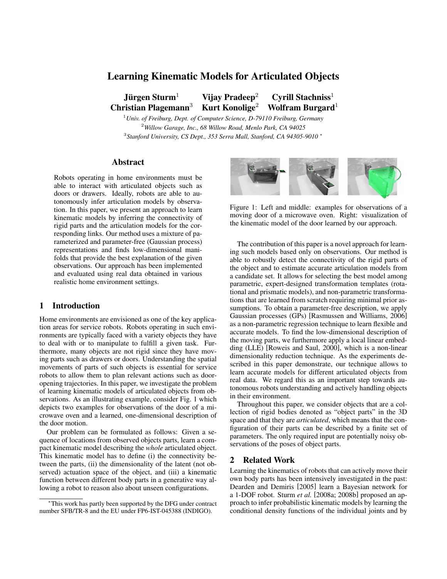# **Learning Kinematic Models for Articulated Objects**

**Jurgen Sturm ¨** <sup>1</sup> **Vijay Pradeep**<sup>2</sup> **Cyrill Stachniss**<sup>1</sup> **Christian Plagemann**<sup>3</sup> **Kurt Konolige**<sup>2</sup> **Wolfram Burgard**<sup>1</sup>

<sup>1</sup>*Univ. of Freiburg, Dept. of Computer Science, D-79110 Freiburg, Germany* <sup>2</sup>*Willow Garage, Inc., 68 Willow Road, Menlo Park, CA 94025* 3 *Stanford University, CS Dept., 353 Serra Mall, Stanford, CA 94305-9010* <sup>∗</sup>

## **Abstract**

Robots operating in home environments must be able to interact with articulated objects such as doors or drawers. Ideally, robots are able to autonomously infer articulation models by observation. In this paper, we present an approach to learn kinematic models by inferring the connectivity of rigid parts and the articulation models for the corresponding links. Our method uses a mixture of parameterized and parameter-free (Gaussian process) representations and finds low-dimensional manifolds that provide the best explanation of the given observations. Our approach has been implemented and evaluated using real data obtained in various realistic home environment settings.

## **1 Introduction**

Home environments are envisioned as one of the key application areas for service robots. Robots operating in such environments are typically faced with a variety objects they have to deal with or to manipulate to fulfill a given task. Furthermore, many objects are not rigid since they have moving parts such as drawers or doors. Understanding the spatial movements of parts of such objects is essential for service robots to allow them to plan relevant actions such as dooropening trajectories. In this paper, we investigate the problem of learning kinematic models of articulated objects from observations. As an illustrating example, consider Fig. 1 which depicts two examples for observations of the door of a microwave oven and a learned, one-dimensional description of the door motion.

Our problem can be formulated as follows: Given a sequence of locations from observed objects parts, learn a compact kinematic model describing the *whole* articulated object. This kinematic model has to define (i) the connectivity between the parts, (ii) the dimensionality of the latent (not observed) actuation space of the object, and (iii) a kinematic function between different body parts in a generative way allowing a robot to reason also about unseen configurations.



Figure 1: Left and middle: examples for observations of a moving door of a microwave oven. Right: visualization of the kinematic model of the door learned by our approach.

The contribution of this paper is a novel approach for learning such models based only on observations. Our method is able to robustly detect the connectivity of the rigid parts of the object and to estimate accurate articulation models from a candidate set. It allows for selecting the best model among parametric, expert-designed transformation templates (rotational and prismatic models), and non-parametric transformations that are learned from scratch requiring minimal prior assumptions. To obtain a parameter-free description, we apply Gaussian processes (GPs) [Rasmussen and Williams, 2006] as a non-parametric regression technique to learn flexible and accurate models. To find the low-dimensional description of the moving parts, we furthermore apply a local linear embedding (LLE) [Roweis and Saul, 2000], which is a non-linear dimensionality reduction technique. As the experiments described in this paper demonstrate, our technique allows to learn accurate models for different articulated objects from real data. We regard this as an important step towards autonomous robots understanding and actively handling objects in their environment.

Throughout this paper, we consider objects that are a collection of rigid bodies denoted as "object parts" in the 3D space and that they are *articulated*, which means that the configuration of their parts can be described by a finite set of parameters. The only required input are potentially noisy observations of the poses of object parts.

## **2 Related Work**

Learning the kinematics of robots that can actively move their own body parts has been intensively investigated in the past: Dearden and Demiris [2005] learn a Bayesian network for a 1-DOF robot. Sturm *et al.* [2008a; 2008b] proposed an approach to infer probabilistic kinematic models by learning the conditional density functions of the individual joints and by

<sup>∗</sup>This work has partly been supported by the DFG under contract number SFB/TR-8 and the EU under FP6-IST-045388 (INDIGO).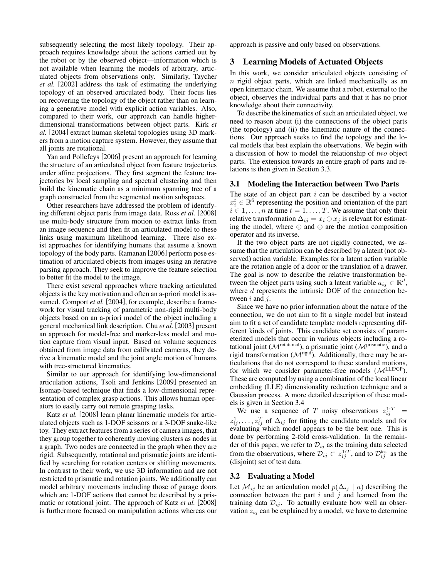subsequently selecting the most likely topology. Their approach requires knowledge about the actions carried out by the robot or by the observed object—information which is not available when learning the models of arbitrary, articulated objects from observations only. Similarly, Taycher *et al.* [2002] address the task of estimating the underlying topology of an observed articulated body. Their focus lies on recovering the topology of the object rather than on learning a generative model with explicit action variables. Also, compared to their work, our approach can handle higherdimensional transformations between object parts. Kirk *et al.* [2004] extract human skeletal topologies using 3D markers from a motion capture system. However, they assume that all joints are rotational.

Yan and Pollefeys [2006] present an approach for learning the structure of an articulated object from feature trajectories under affine projections. They first segment the feature trajectories by local sampling and spectral clustering and then build the kinematic chain as a minimum spanning tree of a graph constructed from the segmented motion subspaces.

Other researchers have addressed the problem of identifying different object parts from image data. Ross *et al.* [2008] use multi-body structure from motion to extract links from an image sequence and then fit an articulated model to these links using maximum likelihood learning. There also exist approaches for identifying humans that assume a known topology of the body parts. Ramanan [2006] perform pose estimation of articulated objects from images using an iterative parsing approach. They seek to improve the feature selection to better fit the model to the image.

There exist several approaches where tracking articulated objects is the key motivation and often an a-priori model is assumed. Comport *et al.* [2004], for example, describe a framework for visual tracking of parametric non-rigid multi-body objects based on an a-priori model of the object including a general mechanical link description. Chu *et al.* [2003] present an approach for model-free and marker-less model and motion capture from visual input. Based on volume sequences obtained from image data from calibrated cameras, they derive a kinematic model and the joint angle motion of humans with tree-structured kinematics.

Similar to our approach for identifying low-dimensional articulation actions, Tsoli and Jenkins [2009] presented an Isomap-based technique that finds a low-dimensional representation of complex grasp actions. This allows human operators to easily carry out remote grasping tasks.

Katz *et al.* [2008] learn planar kinematic models for articulated objects such as 1-DOF scissors or a 3-DOF snake-like toy. They extract features from a series of camera images, that they group together to coherently moving clusters as nodes in a graph. Two nodes are connected in the graph when they are rigid. Subsequently, rotational and prismatic joints are identified by searching for rotation centers or shifting movements. In contrast to their work, we use 3D information and are not restricted to prismatic and rotation joints. We additionally can model arbitrary movements including those of garage doors which are 1-DOF actions that cannot be described by a prismatic or rotational joint. The approach of Katz *et al.* [2008] is furthermore focused on manipulation actions whereas our approach is passive and only based on observations.

## **3 Learning Models of Actuated Objects**

In this work, we consider articulated objects consisting of  $n$  rigid object parts, which are linked mechanically as an open kinematic chain. We assume that a robot, external to the object, observes the individual parts and that it has no prior knowledge about their connectivity.

To describe the kinematics of such an articulated object, we need to reason about (i) the connections of the object parts (the topology) and (ii) the kinematic nature of the connections. Our approach seeks to find the topology and the local models that best explain the observations. We begin with a discussion of how to model the relationship of *two* object parts. The extension towards an entire graph of parts and relations is then given in Section 3.3.

#### **3.1 Modeling the Interaction between Two Parts**

The state of an object part  $i$  can be described by a vector  $x_i^t \in \mathbb{R}^6$  representing the position and orientation of the part  $i \in 1, \ldots, n$  at time  $t = 1, \ldots, T$ . We assume that only their relative transformation  $\Delta_{ij} = x_i \ominus x_j$  is relevant for estimating the model, where  $oplus$  and  $ominus$  are the motion composition operator and its inverse.

If the two object parts are not rigidly connected, we assume that the articulation can be described by a latent (not observed) action variable. Examples for a latent action variable are the rotation angle of a door or the translation of a drawer. The goal is now to describe the relative transformation between the object parts using such a latent variable  $a_{ij} \in \mathbb{R}^d$ , where  $d$  represents the intrinsic DOF of the connection between  $i$  and  $j$ .

Since we have no prior information about the nature of the connection, we do not aim to fit a single model but instead aim to fit a set of candidate template models representing different kinds of joints. This candidate set consists of parameterized models that occur in various objects including a rotational joint ( $\mathcal{M}^{\text{rotational}}$ ), a prismatic joint ( $\mathcal{M}^{\text{prismatch}}$ ), and a rigid transformation  $(\mathcal{M}^{\text{rigid}})$ . Additionally, there may be articulations that do not correspond to these standard motions, for which we consider parameter-free models  $(\mathcal{M}^{LLE/GP})$ . These are computed by using a combination of the local linear embedding (LLE) dimensionality reduction technique and a Gaussian process. A more detailed description of these models is given in Section 3.4

We use a sequence of T noisy observations  $z_{ij}^{1:T}$  =  $z_{ij}^1, \ldots, z_{ij}^T$  of  $\Delta_{ij}$  for fitting the candidate models and for evaluating which model appears to be the best one. This is done by performing 2-fold cross-validation. In the remainder of this paper, we refer to  $\mathcal{D}_{ij}$  as the training data selected from the observations, where  $\mathcal{D}_{ij} \subset z_{ij}^{1:T}$ , and to  $\mathcal{D}_{ij}^{\text{test}}$  as the (disjoint) set of test data.

## **3.2 Evaluating a Model**

Let  $\mathcal{M}_{ij}$  be an articulation model  $p(\Delta_{ij} \mid a)$  describing the connection between the part  $i$  and  $j$  and learned from the training data  $\mathcal{D}_{ij}$ . To actually evaluate how well an observation  $z_{ij}$  can be explained by a model, we have to determine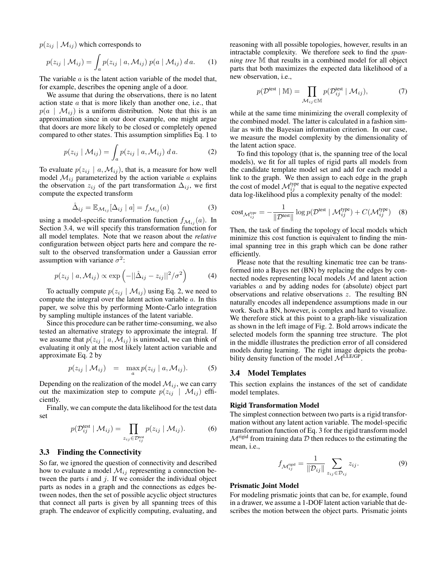$p(z_{ij} | \mathcal{M}_{ij})$  which corresponds to

$$
p(z_{ij} | \mathcal{M}_{ij}) = \int_a p(z_{ij} | a, \mathcal{M}_{ij}) p(a | \mathcal{M}_{ij}) da.
$$
 (1)

The variable a is the latent action variable of the model that, for example, describes the opening angle of a door.

We assume that during the observations, there is no latent action state a that is more likely than another one, i.e., that  $p(a \mid \mathcal{M}_{ij})$  is a uniform distribution. Note that this is an approximation since in our door example, one might argue that doors are more likely to be closed or completely opened compared to other states. This assumption simplifies Eq. 1 to

$$
p(z_{ij} | \mathcal{M}_{ij}) = \int_a p(z_{ij} | a, \mathcal{M}_{ij}) da.
$$
 (2)

To evaluate  $p(z_{ij} | a, M_{ij})$ , that is, a measure for how well model  $\mathcal{M}_{ij}$  parameterized by the action variable a explains the observation  $z_{ij}$  of the part transformation  $\Delta_{ij}$ , we first compute the expected transform

$$
\hat{\Delta}_{ij} = \mathbb{E}_{\mathcal{M}_{ij}}[\Delta_{ij} \mid a] = f_{\mathcal{M}_{ij}}(a)
$$
\n(3)

using a model-specific transformation function  $f_{\mathcal{M}_{ij}}(a)$ . In Section 3.4, we will specify this transformation function for all model templates. Note that we reason about the *relative* configuration between object parts here and compare the result to the observed transformation under a Gaussian error assumption with variance  $\sigma^2$ :

$$
p(z_{ij} | a, \mathcal{M}_{ij}) \propto \exp\left(-||\hat{\Delta}_{ij} - z_{ij}||^2/\sigma^2\right) \tag{4}
$$

To actually compute  $p(z_{ij} | \mathcal{M}_{ij})$  using Eq. 2, we need to compute the integral over the latent action variable a. In this paper, we solve this by performing Monte-Carlo integration by sampling multiple instances of the latent variable.

Since this procedure can be rather time-consuming, we also tested an alternative strategy to approximate the integral. If we assume that  $p(z_{ij} | a, M_{ij})$  is unimodal, we can think of evaluating it only at the most likely latent action variable and approximate Eq. 2 by

$$
p(z_{ij} | \mathcal{M}_{ij}) = \max_{a} p(z_{ij} | a, \mathcal{M}_{ij}). \tag{5}
$$

Depending on the realization of the model  $\mathcal{M}_{ij}$ , we can carry out the maximization step to compute  $p(z_{ij} | \mathcal{M}_{ij})$  efficiently.

Finally, we can compute the data likelihood for the test data set

$$
p(\mathcal{D}_{ij}^{\text{test}} \mid \mathcal{M}_{ij}) = \prod_{z_{ij} \in \mathcal{D}_{ij}^{\text{test}}} p(z_{ij} \mid \mathcal{M}_{ij}).
$$
 (6)

### **3.3 Finding the Connectivity**

So far, we ignored the question of connectivity and described how to evaluate a model  $\mathcal{M}_{ij}$  representing a connection between the parts  $i$  and  $j$ . If we consider the individual object parts as nodes in a graph and the connections as edges between nodes, then the set of possible acyclic object structures that connect all parts is given by all spanning trees of this graph. The endeavor of explicitly computing, evaluating, and reasoning with all possible topologies, however, results in an intractable complexity. We therefore seek to find the *spanning tree* M that results in a combined model for all object parts that both maximizes the expected data likelihood of a new observation, i.e.,

$$
p(\mathcal{D}^{\text{test}} \mid \mathbb{M}) = \prod_{\mathcal{M}_{ij} \in \mathbb{M}} p(\mathcal{D}_{ij}^{\text{test}} \mid \mathcal{M}_{ij}), \tag{7}
$$

while at the same time minimizing the overall complexity of the combined model. The latter is calculated in a fashion similar as with the Bayesian information criterion. In our case, we measure the model complexity by the dimensionality of the latent action space.

To find this topology (that is, the spanning tree of the local models), we fit for all tuples of rigid parts all models from the candidate template model set and add for each model a link to the graph. We then assign to each edge in the graph the cost of model  $\mathcal{M}_{ij}^{type}$  that is equal to the negative expected data log-likelihood plus a complexity penalty of the model:

$$
\text{cost}_{\mathcal{M}_{ij}^{\text{type}}} = -\frac{1}{\|\mathcal{D}^{\text{test}}\|} \log p(\mathcal{D}^{\text{test}} \mid \mathcal{M}_{ij}^{\text{type}}) + C(\mathcal{M}_{ij}^{\text{type}})
$$
(8)

Then, the task of finding the topology of local models which minimize this cost function is equivalent to finding the minimal spanning tree in this graph which can be done rather efficiently.

Please note that the resulting kinematic tree can be transformed into a Bayes net (BN) by replacing the edges by connected nodes representing local models M and latent action variables a and by adding nodes for (absolute) object part observations and relative observations z. The resulting BN naturally encodes all independence assumptions made in our work. Such a BN, however, is complex and hard to visualize. We therefore stick at this point to a graph-like visualization as shown in the left image of Fig. 2. Bold arrows indicate the selected models form the spanning tree structure. The plot in the middle illustrates the prediction error of all considered models during learning. The right image depicts the probability density function of the model  $\mathcal{M}^{LLE/GP}$ .

## **3.4 Model Templates**

This section explains the instances of the set of candidate model templates.

#### **Rigid Transformation Model**

The simplest connection between two parts is a rigid transformation without any latent action variable. The model-specific transformation function of Eq. 3 for the rigid transform model  $\mathcal{M}^{\text{rigid}}$  from training data  $\mathcal D$  then reduces to the estimating the mean, i.e.,

$$
f_{\mathcal{M}_{ij}^{\text{rigid}}} = \frac{1}{\|\mathcal{D}_{ij}\|} \sum_{z_{ij} \in \mathcal{D}_{ij}} z_{ij}.
$$
 (9)

#### **Prismatic Joint Model**

For modeling prismatic joints that can be, for example, found in a drawer, we assume a 1-DOF latent action variable that describes the motion between the object parts. Prismatic joints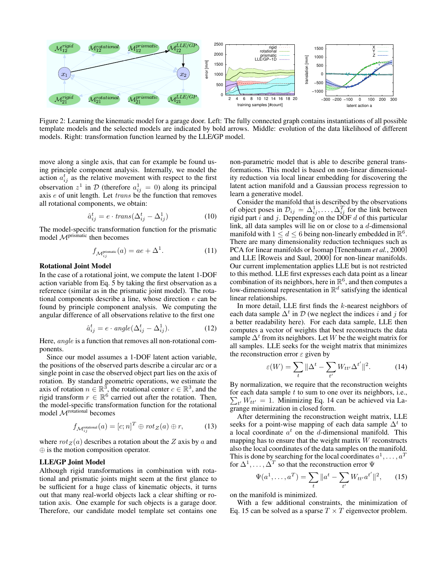

Figure 2: Learning the kinematic model for a garage door. Left: The fully connected graph contains instantiations of all possible template models and the selected models are indicated by bold arrows. Middle: evolution of the data likelihood of different models. Right: transformation function learned by the LLE/GP model.

move along a single axis, that can for example be found using principle component analysis. Internally, we model the action  $a_{ij}^t$  as the relative movement with respect to the first observation  $z^1$  in  $\mathcal D$  (therefore  $a_{ij}^1 = 0$ ) along its principal axis  $e$  of unit length. Let  $trans$  be the function that removes all rotational components, we obtain:

$$
\hat{a}_{ij}^t = e \cdot trans(\Delta_{ij}^t - \Delta_{ij}^1) \tag{10}
$$

The model-specific transformation function for the prismatic model  $M<sup>prismatic</sup>$  then becomes

$$
f_{\mathcal{M}^{\text{prismatic}}_{ij}}(a) = ae + \Delta^1. \tag{11}
$$

#### **Rotational Joint Model**

In the case of a rotational joint, we compute the latent 1-DOF action variable from Eq. 5 by taking the first observation as a reference (similar as in the prismatic joint model). The rotational components describe a line, whose direction e can be found by principle component analysis. We computing the angular difference of all observations relative to the first one

$$
\hat{a}_{ij}^t = e \cdot angle(\Delta_{ij}^t - \Delta_{ij}^1). \tag{12}
$$

Here, angle is a function that removes all non-rotational components.

Since our model assumes a 1-DOF latent action variable, the positions of the observed parts describe a circular arc or a single point in case the observed object part lies on the axis of rotation. By standard geometric operations, we estimate the axis of rotation  $n \in \mathbb{R}^3$ , the rotational center  $c \in \mathbb{R}^3$ , and the rigid transform  $r \in \mathbb{R}^6$  carried out after the rotation. Then, the model-specific transformation function for the rotational model M<sup>rotational</sup> becomes

$$
f_{\mathcal{M}_{ij}^{\text{rotational}}}(a) = [c; n]^T \oplus rot_Z(a) \oplus r,
$$
 (13)

where  $rot_Z(a)$  describes a rotation about the Z axis by a and ⊕ is the motion composition operator.

### **LLE/GP Joint Model**

Although rigid transformations in combination with rotational and prismatic joints might seem at the first glance to be sufficient for a huge class of kinematic objects, it turns out that many real-world objects lack a clear shifting or rotation axis. One example for such objects is a garage door. Therefore, our candidate model template set contains one non-parametric model that is able to describe general transformations. This model is based on non-linear dimensionality reduction via local linear embedding for discovering the latent action manifold and a Gaussian process regression to learn a generative model.

Consider the manifold that is described by the observations of object poses in  $\mathcal{D}_{ij} = \Delta_{ij}^1, \dots, \Delta_{ij}^T$  for the link between rigid part  $i$  and  $j$ . Depending on the DOF  $d$  of this particular link, all data samples will lie on or close to a d-dimensional manifold with  $1 \le d \le 6$  being non-linearly embedded in  $\mathbb{R}^6$ . There are many dimensionality reduction techniques such as PCA for linear manifolds or Isomap [Tenenbaum *et al.*, 2000] and LLE [Roweis and Saul, 2000] for non-linear manifolds. Our current implementation applies LLE but is not restricted to this method. LLE first expresses each data point as a linear combination of its neighbors, here in  $\mathbb{R}^6$ , and then computes a low-dimensional representation in  $\mathbb{R}^d$  satisfying the identical linear relationships.

In more detail, LLE first finds the  $k$ -nearest neighbors of each data sample  $\Delta^t$  in  $\mathcal D$  (we neglect the indices i and j for a better readability here). For each data sample, LLE then computes a vector of weights that best reconstructs the data sample  $\Delta^t$  from its neighbors. Let W be the weight matrix for all samples. LLE seeks for the weight matrix that minimizes the reconstruction error  $\varepsilon$  given by

$$
\varepsilon(W) = \sum_{t} \|\Delta^t - \sum_{t'} W_{tt'} \Delta^{t'}\|^2. \tag{14}
$$

By normalization, we require that the reconstruction weights for each data sample  $t$  to sum to one over its neighbors, i.e.,  $\sum_{t'} W_{tt'} = 1$ . Minimizing Eq. 14 can be achieved via Lagrange minimization in closed form.

After determining the reconstruction weight matrix, LLE seeks for a point-wise mapping of each data sample  $\Delta^t$  to a local coordinate  $a^t$  on the d-dimensional manifold. This mapping has to ensure that the weight matrix  $W$  reconstructs also the local coordinates of the data samples on the manifold. This is done by searching for the local coordinates  $a^1, \ldots, a^T$ for  $\Delta^1, \ldots, \tilde{\Delta}^T$  so that the reconstruction error  $\Psi$ 

$$
\Psi(a^1, \dots, a^T) = \sum_t \|a^t - \sum_{t'} W_{tt'} a^{t'}\|^2, \qquad (15)
$$

on the manifold is minimized.

With a few additional constraints, the minimization of Eq. 15 can be solved as a sparse  $T \times T$  eigenvector problem.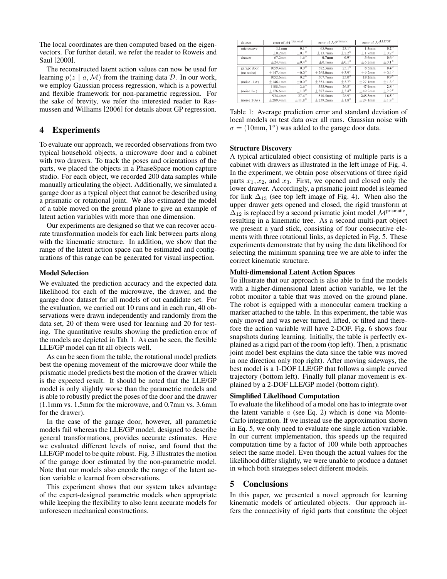The local coordinates are then computed based on the eigenvectors. For further detail, we refer the reader to Roweis and Saul [2000].

The reconstructed latent action values can now be used for learning  $p(z \mid a, \mathcal{M})$  from the training data D. In our work, we employ Gaussian process regression, which is a powerful and flexible framework for non-parametric regression. For the sake of brevity, we refer the interested reader to Rasmussen and Williams [2006] for details about GP regression.

## **4 Experiments**

To evaluate our approach, we recorded observations from two typical household objects, a microwave door and a cabinet with two drawers. To track the poses and orientations of the parts, we placed the objects in a PhaseSpace motion capture studio. For each object, we recorded 200 data samples while manually articulating the object. Additionally, we simulated a garage door as a typical object that cannot be described using a prismatic or rotational joint. We also estimated the model of a table moved on the ground plane to give an example of latent action variables with more than one dimension.

Our experiments are designed so that we can recover accurate transformation models for each link between parts along with the kinematic structure. In addition, we show that the range of the latent action space can be estimated and configurations of this range can be generated for visual inspection.

#### **Model Selection**

We evaluated the prediction accuracy and the expected data likelihood for each of the microwave, the drawer, and the garage door dataset for all models of out candidate set. For the evaluation, we carried out 10 runs and in each run, 40 observations were drawn independently and randomly from the data set, 20 of them were used for learning and 20 for testing. The quantitative results showing the prediction error of the models are depicted in Tab. 1. As can be seen, the flexible LLE/GP model can fit all objects well.

As can be seen from the table, the rotational model predicts best the opening movement of the microwave door while the prismatic model predicts best the motion of the drawer which is the expected result. It should be noted that the LLE/GP model is only slightly worse than the parametric models and is able to robustly predict the poses of the door and the drawer (1.1mm vs. 1.5mm for the microwave, and 0.7mm vs. 3.6mm for the drawer).

In the case of the garage door, however, all parametric models fail whereas the LLE/GP model, designed to describe general transformations, provides accurate estimates. Here we evaluated different levels of noise, and found that the LLE/GP model to be quite robust. Fig. 3 illustrates the motion of the garage door estimated by the non-parametric model. Note that our models also encode the range of the latent action variable a learned from observations.

This experiment shows that our system takes advantage of the expert-designed parametric models when appropriate while keeping the flexibility to also learn accurate models for unforeseen mechanical constructions.

| dataset              | error of M <sup>rotational</sup> |                         | error of $M^{\text{prismaic}}$ |                 | error of $M$ <sup>LLE/GP</sup> |                 |
|----------------------|----------------------------------|-------------------------|--------------------------------|-----------------|--------------------------------|-----------------|
| microwave            | 1.1 <sub>mm</sub>                | $0.1^\circ$             | 65.9mm                         | $23.1^\circ$    | 1.5mm                          | $0.2^\circ$     |
|                      | $+0.2$ mm                        | $+0.1^\circ$            | $+13.7$ mm                     | $+2.2^{\circ}$  | $+1.7$ mm                      | $+0.2^\circ$    |
| drawer               | 67.2mm                           | $1.6^\circ$             | 0.7 <sub>mm</sub>              | $0.9^\circ$     | 3.6 <sub>mm</sub>              | $0.6^\circ$     |
|                      | $+24.4$ mm                       | $\pm 0.4^\circ$         | $\pm 0.1$ mm                   | $\pm 0.1^\circ$ | $\pm$ 6.2mm                    | $\pm 0.1^\circ$ |
| garage door          | 1059.4mm                         | $0.0^\circ$             | 382.3mm                        | $25.1^\circ$    | 8.5mm                          | $0.4^\circ$     |
| (no noise)           | $+147.4$ mm                      | $+0.0^\circ$            | $+265.0$ mm                    | $+3.9^\circ$    | $+9.2$ mm                      | $\pm 0.4^\circ$ |
|                      | 1052.6mm                         | $0.2^\circ$             | 507.7mm                        | $250^\circ$     | 18.2 <sub>mm</sub>             | $0.9^\circ$     |
| (noise .1 $\sigma$ ) | ±146.1mm                         | $\pm 0.0^\circ$         | ±353.1mm                       | $±3.7^{\circ}$  | $\pm 27.1$ mm                  | $\pm 1.3^\circ$ |
|                      | 1108.3mm                         | $2.6^\circ$             | 555.9mm                        | $26.5^\circ$    | 47.9mm                         | $28^\circ$      |
| (noise $1\sigma$ )   | $+126.6$ mm                      | $\pm 1.0^\circ$         | $+387.4$ mm                    | $+3.4^\circ$    | $+49.2$ mm                     | $+2.2^\circ$    |
|                      | 934.4mm                          | $27.4^\circ$            | 510.5mm                        | $28.9^\circ$    | 248.3mm                        | $16.5^\circ$    |
| (noise $10\sigma$ )  | $\pm 289.4$ mm                   | $\pm$ 11.8 <sup>°</sup> | $\pm$ 239.2mm                  | $\pm 1.8^\circ$ | $\pm 24.1$ mm                  | $\pm 1.8^\circ$ |

Table 1: Average prediction error and standard deviation of local models on test data over all runs. Gaussian noise with  $\sigma = (10$ mm, 1°) was added to the garage door data.

#### **Structure Discovery**

A typical articulated object consisting of multiple parts is a cabinet with drawers as illustrated in the left image of Fig. 4. In the experiment, we obtain pose observations of three rigid parts  $x_1, x_2$ , and  $x_3$ . First, we opened and closed only the lower drawer. Accordingly, a prismatic joint model is learned for link  $\Delta_{13}$  (see top left image of Fig. 4). When also the upper drawer gets opened and closed, the rigid transform at  $\overline{\Delta}_{12}$  is replaced by a second prismatic joint model  $\mathcal{M}^{\text{prismatic}}$ , resulting in a kinematic tree. As a second multi-part object we present a yard stick, consisting of four consecutive elements with three rotational links, as depicted in Fig. 5. These experiments demonstrate that by using the data likelihood for selecting the minimum spanning tree we are able to infer the correct kinematic structure.

#### **Multi-dimensional Latent Action Spaces**

To illustrate that our approach is also able to find the models with a higher-dimensional latent action variable, we let the robot monitor a table that was moved on the ground plane. The robot is equipped with a monocular camera tracking a marker attached to the table. In this experiment, the table was only moved and was never turned, lifted, or tilted and therefore the action variable will have 2-DOF. Fig. 6 shows four snapshots during learning. Initially, the table is perfectly explained as a rigid part of the room (top left). Then, a prismatic joint model best explains the data since the table was moved in one direction only (top right). After moving sideways, the best model is a 1-DOF LLE/GP that follows a simple curved trajectory (bottom left). Finally full planar movement is explained by a 2-DOF LLE/GP model (bottom right).

#### **Simplified Likelihood Computation**

To evaluate the likelihood of a model one has to integrate over the latent variable  $a$  (see Eq. 2) which is done via Monte-Carlo integration. If we instead use the approximation shown in Eq. 5, we only need to evaluate one single action variable. In our current implementation, this speeds up the required computation time by a factor of 100 while both approaches select the same model. Even though the actual values for the likelihood differ slightly, we were unable to produce a dataset in which both strategies select different models.

## **5 Conclusions**

In this paper, we presented a novel approach for learning kinematic models of articulated objects. Our approach infers the connectivity of rigid parts that constitute the object